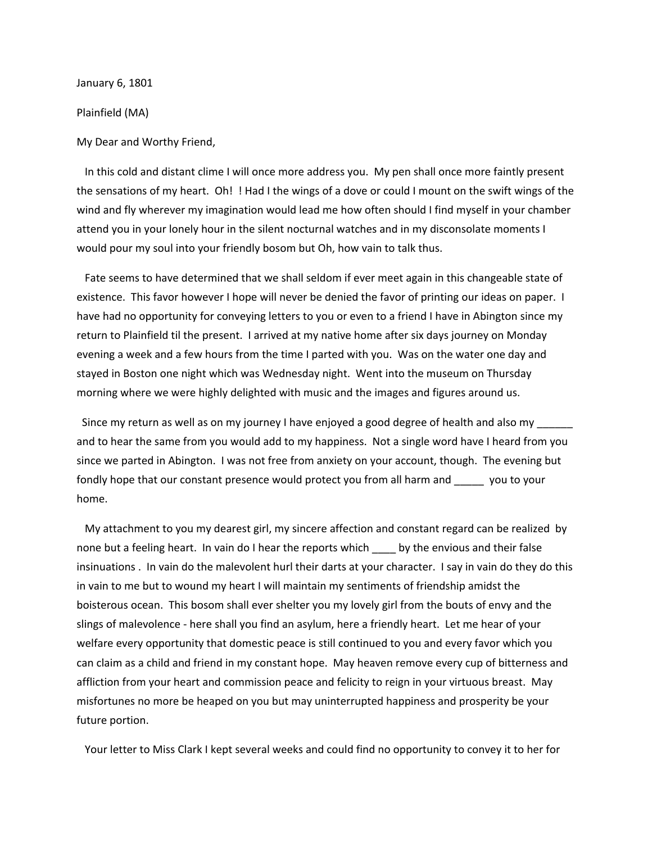January 6, 1801

Plainfield (MA)

My Dear and Worthy Friend,

In this cold and distant clime I will once more address you. My pen shall once more faintly present the sensations of my heart. Oh! ! Had I the wings of a dove or could I mount on the swift wings of the wind and fly wherever my imagination would lead me how often should I find myself in your chamber attend you in your lonely hour in the silent nocturnal watches and in my disconsolate moments I would pour my soul into your friendly bosom but Oh, how vain to talk thus.

Fate seems to have determined that we shall seldom if ever meet again in this changeable state of existence. This favor however I hope will never be denied the favor of printing our ideas on paper. I have had no opportunity for conveying letters to you or even to a friend I have in Abington since my return to Plainfield til the present. I arrived at my native home after six days journey on Monday evening a week and a few hours from the time I parted with you. Was on the water one day and stayed in Boston one night which was Wednesday night. Went into the museum on Thursday morning where we were highly delighted with music and the images and figures around us.

Since my return as well as on my journey I have enjoyed a good degree of health and also my and to hear the same from you would add to my happiness. Not a single word have I heard from you since we parted in Abington. I was not free from anxiety on your account, though. The evening but fondly hope that our constant presence would protect you from all harm and \_\_\_\_\_ you to your home.

My attachment to you my dearest girl, my sincere affection and constant regard can be realized by none but a feeling heart. In vain do I hear the reports which samply the envious and their false insinuations . In vain do the malevolent hurl their darts at your character. I say in vain do they do this in vain to me but to wound my heart I will maintain my sentiments of friendship amidst the boisterous ocean. This bosom shall ever shelter you my lovely girl from the bouts of envy and the slings of malevolence - here shall you find an asylum, here a friendly heart. Let me hear of your welfare every opportunity that domestic peace is still continued to you and every favor which you can claim as a child and friend in my constant hope. May heaven remove every cup of bitterness and affliction from your heart and commission peace and felicity to reign in your virtuous breast. May misfortunes no more be heaped on you but may uninterrupted happiness and prosperity be your future portion.

Your letter to Miss Clark I kept several weeks and could find no opportunity to convey it to her for